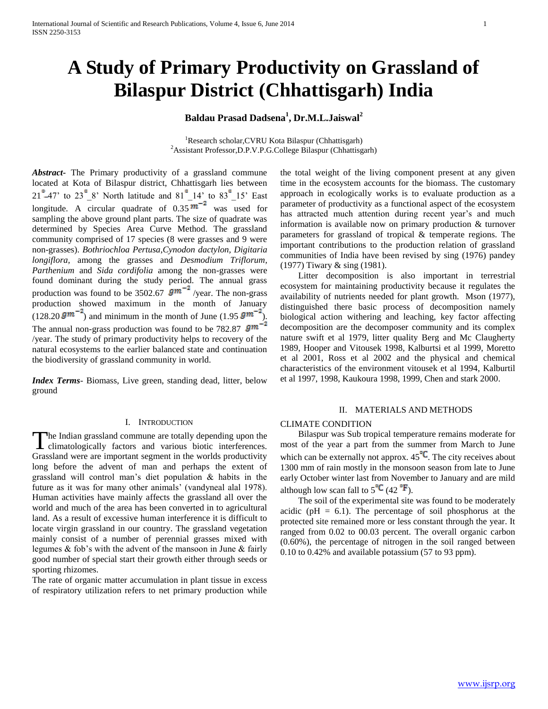# **A Study of Primary Productivity on Grassland of Bilaspur District (Chhattisgarh) India**

# **Baldau Prasad Dadsena<sup>1</sup> , Dr.M.L.Jaiswal<sup>2</sup>**

<sup>1</sup>Research scholar, CVRU Kota Bilaspur (Chhattisgarh) <sup>2</sup>Assistant Professor,D.P.V.P.G.College Bilaspur (Chhattisgarh)

*Abstract***-** The Primary productivity of a grassland commune located at Kota of Bilaspur district, Chhattisgarh lies between  $21^{\circ}$ -47' to  $23^{\circ}$  8' North latitude and  $81^{\circ}$  14' to  $83^{\circ}$  15' East longitude. A circular quadrate of  $0.35 \text{ m}^{-2}$  was used for sampling the above ground plant parts. The size of quadrate was determined by Species Area Curve Method. The grassland community comprised of 17 species (8 were grasses and 9 were non-grasses). *Bothriochloa Pertusa*,*Cynodon dactylon, Digitaria longiflora,* among the grasses and *Desmodium Triflorum, Parthenium* and *Sida cordifolia* among the non-grasses were found dominant during the study period. The annual grass production was found to be 3502.67  $gm^{-2}$ /year. The non-grass production showed maximum in the month of January  $(128.20 \text{ gm}^{-2})$  and minimum in the month of June  $(1.95 \text{ gm}^{-2})$ . The annual non-grass production was found to be 782.87  $gm^{-2}$ /year. The study of primary productivity helps to recovery of the natural ecosystems to the earlier balanced state and continuation the biodiversity of grassland community in world.

*Index Terms*- Biomass, Live green, standing dead, litter, below ground

#### I. INTRODUCTION

The Indian grassland commune are totally depending upon the The Indian grassland commune are totally depending upon the climatologically factors and various biotic interferences. Grassland were are important segment in the worlds productivity long before the advent of man and perhaps the extent of grassland will control man's diet population & habits in the future as it was for many other animals' (vandyneal alal 1978). Human activities have mainly affects the grassland all over the world and much of the area has been converted in to agricultural land. As a result of excessive human interference it is difficult to locate virgin grassland in our country. The grassland vegetation mainly consist of a number of perennial grasses mixed with legumes & fob's with the advent of the mansoon in June & fairly good number of special start their growth either through seeds or sporting rhizomes.

The rate of organic matter accumulation in plant tissue in excess of respiratory utilization refers to net primary production while

the total weight of the living component present at any given time in the ecosystem accounts for the biomass. The customary approach in ecologically works is to evaluate production as a parameter of productivity as a functional aspect of the ecosystem has attracted much attention during recent year's and much information is available now on primary production & turnover parameters for grassland of tropical & temperate regions. The important contributions to the production relation of grassland communities of India have been revised by sing (1976) pandey (1977) Tiwary & sing (1981).

 Litter decomposition is also important in terrestrial ecosystem for maintaining productivity because it regulates the availability of nutrients needed for plant growth. Mson (1977), distinguished there basic process of decomposition namely biological action withering and leaching, key factor affecting decomposition are the decomposer community and its complex nature swift et al 1979, litter quality Berg and Mc Claugherty 1989, Hooper and Vitousek 1998, Kalburtsi et al 1999, Moretto et al 2001, Ross et al 2002 and the physical and chemical characteristics of the environment vitousek et al 1994, Kalburtil et al 1997, 1998, Kaukoura 1998, 1999, Chen and stark 2000.

#### II. MATERIALS AND METHODS

## CLIMATE CONDITION

 Bilaspur was Sub tropical temperature remains moderate for most of the year a part from the summer from March to June which can be externally not approx.  $45^{\circ}C$ . The city receives about 1300 mm of rain mostly in the monsoon season from late to June early October winter last from November to January and are mild although low scan fall to  $5^{\degree}C$  (42  $^{\degree}F$ ).

 The soil of the experimental site was found to be moderately acidic ( $pH = 6.1$ ). The percentage of soil phosphorus at the protected site remained more or less constant through the year. It ranged from 0.02 to 00.03 percent. The overall organic carbon (0.60%), the percentage of nitrogen in the soil ranged between 0.10 to 0.42% and available potassium (57 to 93 ppm).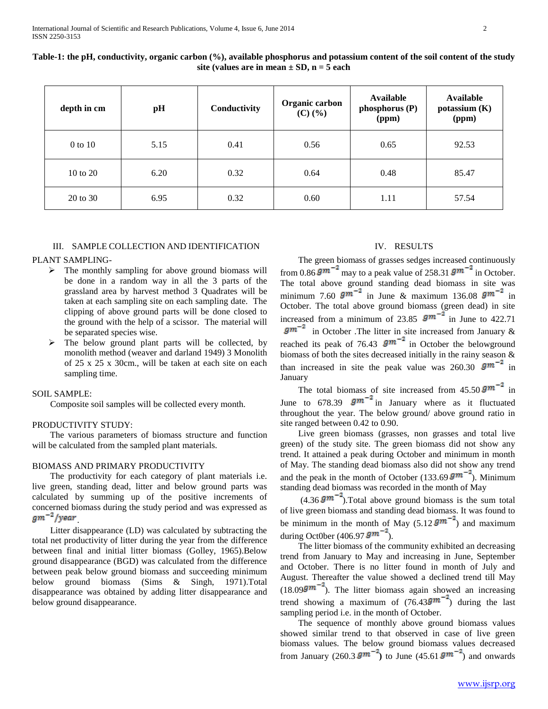| depth in cm         | pH   | Conductivity | Organic carbon<br>$(C)$ $(\frac{6}{6})$ | Available<br>phosphorus (P)<br>(ppm) | Available<br>potassium $(K)$<br>(ppm) |
|---------------------|------|--------------|-----------------------------------------|--------------------------------------|---------------------------------------|
| $0$ to $10$         | 5.15 | 0.41         | 0.56                                    | 0.65                                 | 92.53                                 |
| $10 \text{ to } 20$ | 6.20 | 0.32         | 0.64                                    | 0.48                                 | 85.47                                 |
| 20 to 30            | 6.95 | 0.32         | 0.60                                    | 1.11                                 | 57.54                                 |

**Table-1: the pH, conductivity, organic carbon (%), available phosphorus and potassium content of the soil content of the study site (values are in mean ± SD, n = 5 each**

## III. SAMPLE COLLECTION AND IDENTIFICATION

## PLANT SAMPLING-

- $\triangleright$  The monthly sampling for above ground biomass will be done in a random way in all the 3 parts of the grassland area by harvest method 3 Quadrates will be taken at each sampling site on each sampling date. The clipping of above ground parts will be done closed to the ground with the help of a scissor. The material will be separated species wise.
- The below ground plant parts will be collected, by monolith method (weaver and darland 1949) 3 Monolith of 25 x 25 x 30cm., will be taken at each site on each sampling time.

## SOIL SAMPLE:

Composite soil samples will be collected every month.

#### PRODUCTIVITY STUDY:

 The various parameters of biomass structure and function will be calculated from the sampled plant materials.

## BIOMASS AND PRIMARY PRODUCTIVITY

 The productivity for each category of plant materials i.e. live green, standing dead, litter and below ground parts was calculated by summing up of the positive increments of concerned biomass during the study period and was expressed as  $gm^{-2}/year$ 

 Litter disappearance (LD) was calculated by subtracting the total net productivity of litter during the year from the difference between final and initial litter biomass (Golley, 1965).Below ground disappearance (BGD) was calculated from the difference between peak below ground biomass and succeeding minimum below ground biomass (Sims & Singh, 1971).Total disappearance was obtained by adding litter disappearance and below ground disappearance.

# IV. RESULTS

 The green biomass of grasses sedges increased continuously from 0.86  $gm^{-2}$  may to a peak value of 258.31  $gm^{-2}$  in October. The total above ground standing dead biomass in site was minimum 7.60  $gm^{-2}$  in June & maximum 136.08  $gm^{-2}$  in October. The total above ground biomass (green dead) in site increased from a minimum of 23.85  $gm^{-2}$  in June to 422.71  $g m^{-2}$  in October .The litter in site increased from January & reached its peak of 76.43  $gm^{-2}$  in October the belowground biomass of both the sites decreased initially in the rainy season & than increased in site the peak value was 260.30  $gm^{-2}$  in January

The total biomass of site increased from  $45.50 \text{ gm}^{-2}$  in June to 678.39  $gm^{-2}$  in January where as it fluctuated throughout the year. The below ground/ above ground ratio in site ranged between 0.42 to 0.90.

 Live green biomass (grasses, non grasses and total live green) of the study site. The green biomass did not show any trend. It attained a peak during October and minimum in month of May. The standing dead biomass also did not show any trend and the peak in the month of October (133.69  $gm^{-2}$ ). Minimum standing dead biomass was recorded in the month of May

 $(4.36 \text{ gm}^{-2})$ . Total above ground biomass is the sum total of live green biomass and standing dead biomass. It was found to be minimum in the month of May  $(5.12 \text{ gm}^{-2})$  and maximum during Oct0ber (406.97  $gm^{-2}$ ).

 The litter biomass of the community exhibited an decreasing trend from January to May and increasing in June, September and October. There is no litter found in month of July and August. Thereafter the value showed a declined trend till May  $(18.099m^{-2})$ . The litter biomass again showed an increasing trend showing a maximum of  $(76.43 \text{gm}^{-2})$  during the last sampling period i.e. in the month of October.

 The sequence of monthly above ground biomass values showed similar trend to that observed in case of live green biomass values. The below ground biomass values decreased from January (260.3  $gm^{-2}$ ) to June (45.61  $gm^{-2}$ ) and onwards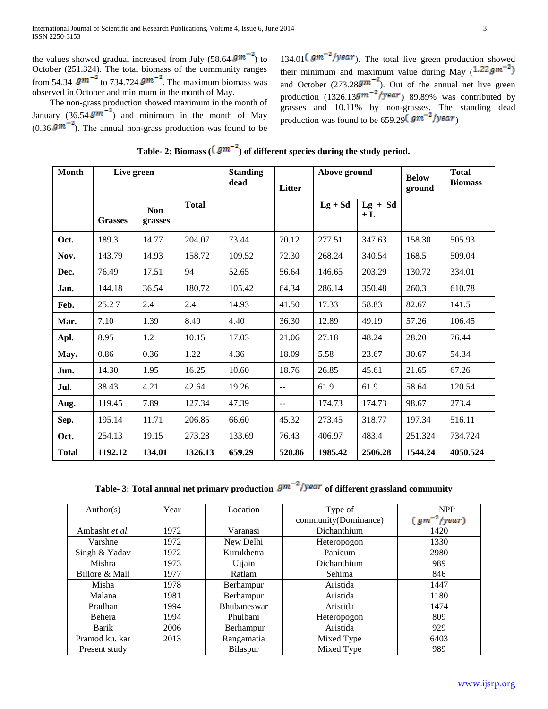the values showed gradual increased from July (58.64  $g m^{-2}$ ) to October (251.324). The total biomass of the community ranges from 54.34  $\,g\text{m}$  <sup>-</sup> to 734.724  $g\text{m}$  <sup>-</sup>. The maximum biomass was observed in October and minimum in the month of May.

 The non-grass production showed maximum in the month of January (36.54  $gm^{-2}$ ) and minimum in the month of May  $(0.36 \text{ gm}^{-2})$ . The annual non-grass production was found to be

134.01  $\left(gm^{-2}/year\right)$ . The total live green production showed their minimum and maximum value during May  $(1.22gm^{-2})$ and October (273.28 $\text{gm}^{-2}$ ). Out of the annual net live green production  $(1326.13$ gm<sup>-2</sup>/year) 89.89% was contributed by grasses and 10.11% by non-grasses. The standing dead production was found to be 659.29  $(gm^{-2}/year)$ 

|  | Table- 2: Biomass ( $(gm^{-2})$ ) of different species during the study period. |  |
|--|---------------------------------------------------------------------------------|--|
|--|---------------------------------------------------------------------------------|--|

| Month        | Live green     |                       |              | <b>Standing</b><br>dead | Litter        | Above ground |                   | <b>Below</b><br>ground | <b>Total</b><br><b>Biomass</b> |
|--------------|----------------|-----------------------|--------------|-------------------------|---------------|--------------|-------------------|------------------------|--------------------------------|
|              | <b>Grasses</b> | <b>Non</b><br>grasses | <b>Total</b> |                         |               | $Lg + Sd$    | $Lg + Sd$<br>$+L$ |                        |                                |
| Oct.         | 189.3          | 14.77                 | 204.07       | 73.44                   | 70.12         | 277.51       | 347.63            | 158.30                 | 505.93                         |
| Nov.         | 143.79         | 14.93                 | 158.72       | 109.52                  | 72.30         | 268.24       | 340.54            | 168.5                  | 509.04                         |
| Dec.         | 76.49          | 17.51                 | 94           | 52.65                   | 56.64         | 146.65       | 203.29            | 130.72                 | 334.01                         |
| Jan.         | 144.18         | 36.54                 | 180.72       | 105.42                  | 64.34         | 286.14       | 350.48            | 260.3                  | 610.78                         |
| Feb.         | 25.27          | 2.4                   | 2.4          | 14.93                   | 41.50         | 17.33        | 58.83             | 82.67                  | 141.5                          |
| Mar.         | 7.10           | 1.39                  | 8.49         | 4.40                    | 36.30         | 12.89        | 49.19             | 57.26                  | 106.45                         |
| Apl.         | 8.95           | 1.2                   | 10.15        | 17.03                   | 21.06         | 27.18        | 48.24             | 28.20                  | 76.44                          |
| May.         | 0.86           | 0.36                  | 1.22         | 4.36                    | 18.09         | 5.58         | 23.67             | 30.67                  | 54.34                          |
| Jun.         | 14.30          | 1.95                  | 16.25        | 10.60                   | 18.76         | 26.85        | 45.61             | 21.65                  | 67.26                          |
| Jul.         | 38.43          | 4.21                  | 42.64        | 19.26                   | $\sim$ $\sim$ | 61.9         | 61.9              | 58.64                  | 120.54                         |
| Aug.         | 119.45         | 7.89                  | 127.34       | 47.39                   | $\sim$ $\sim$ | 174.73       | 174.73            | 98.67                  | 273.4                          |
| Sep.         | 195.14         | 11.71                 | 206.85       | 66.60                   | 45.32         | 273.45       | 318.77            | 197.34                 | 516.11                         |
| Oct.         | 254.13         | 19.15                 | 273.28       | 133.69                  | 76.43         | 406.97       | 483.4             | 251.324                | 734.724                        |
| <b>Total</b> | 1192.12        | 134.01                | 1326.13      | 659.29                  | 520.86        | 1985.42      | 2506.28           | 1544.24                | 4050.524                       |

**Table-** 3: Total annual net primary production  $gm^{-2}/year$  of different grassland community

| Author(s)      | Year | Location           | Type of              | <b>NPP</b>      |
|----------------|------|--------------------|----------------------|-----------------|
|                |      |                    | community(Dominance) | $gm^{-2}/year)$ |
| Ambasht et al. | 1972 | Varanasi           | Dichanthium          | 1420            |
| Varshne        | 1972 | New Delhi          | Heteropogon          | 1330            |
| Singh & Yadav  | 1972 | Kurukhetra         | Panicum              | 2980            |
| Mishra         | 1973 | Ujjain             | Dichanthium          | 989             |
| Billore & Mall | 1977 | Ratlam             | Sehima               | 846             |
| Misha          | 1978 | Berhampur          | Aristida             | 1447            |
| Malana         | 1981 | Berhampur          | Aristida             | 1180            |
| Pradhan        | 1994 | <b>Bhubaneswar</b> | Aristida             | 1474            |
| Behera         | 1994 | Phulbani           | Heteropogon          | 809             |
| Barik          | 2006 | Berhampur          | Aristida             | 929             |
| Pramod ku, kar | 2013 | Rangamatia         | Mixed Type           | 6403            |
| Present study  |      | Bilaspur           | Mixed Type           | 989             |